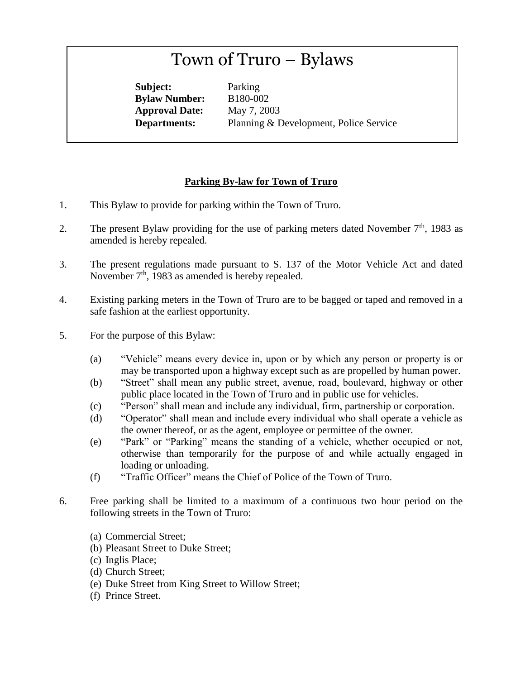## Town of Truro – Bylaws

**Subject:** Parking **Bylaw Number:** B180-002 **Approval Date:** May 7, 2003

**Departments:** Planning & Development, Police Service

## **Parking By-law for Town of Truro**

- 1. This Bylaw to provide for parking within the Town of Truro.
- 2. The present Bylaw providing for the use of parking meters dated November  $7<sup>th</sup>$ , 1983 as amended is hereby repealed.
- 3. The present regulations made pursuant to S. 137 of the Motor Vehicle Act and dated November  $7<sup>th</sup>$ , 1983 as amended is hereby repealed.
- 4. Existing parking meters in the Town of Truro are to be bagged or taped and removed in a safe fashion at the earliest opportunity.
- 5. For the purpose of this Bylaw:
	- (a) "Vehicle" means every device in, upon or by which any person or property is or may be transported upon a highway except such as are propelled by human power.
	- (b) "Street" shall mean any public street, avenue, road, boulevard, highway or other public place located in the Town of Truro and in public use for vehicles.
	- (c) "Person" shall mean and include any individual, firm, partnership or corporation.
	- (d) "Operator" shall mean and include every individual who shall operate a vehicle as the owner thereof, or as the agent, employee or permittee of the owner.
	- (e) "Park" or "Parking" means the standing of a vehicle, whether occupied or not, otherwise than temporarily for the purpose of and while actually engaged in loading or unloading.
	- (f) "Traffic Officer" means the Chief of Police of the Town of Truro.
- 6. Free parking shall be limited to a maximum of a continuous two hour period on the following streets in the Town of Truro:
	- (a) Commercial Street;
	- (b) Pleasant Street to Duke Street;
	- (c) Inglis Place;
	- (d) Church Street;
	- (e) Duke Street from King Street to Willow Street;
	- (f) Prince Street.